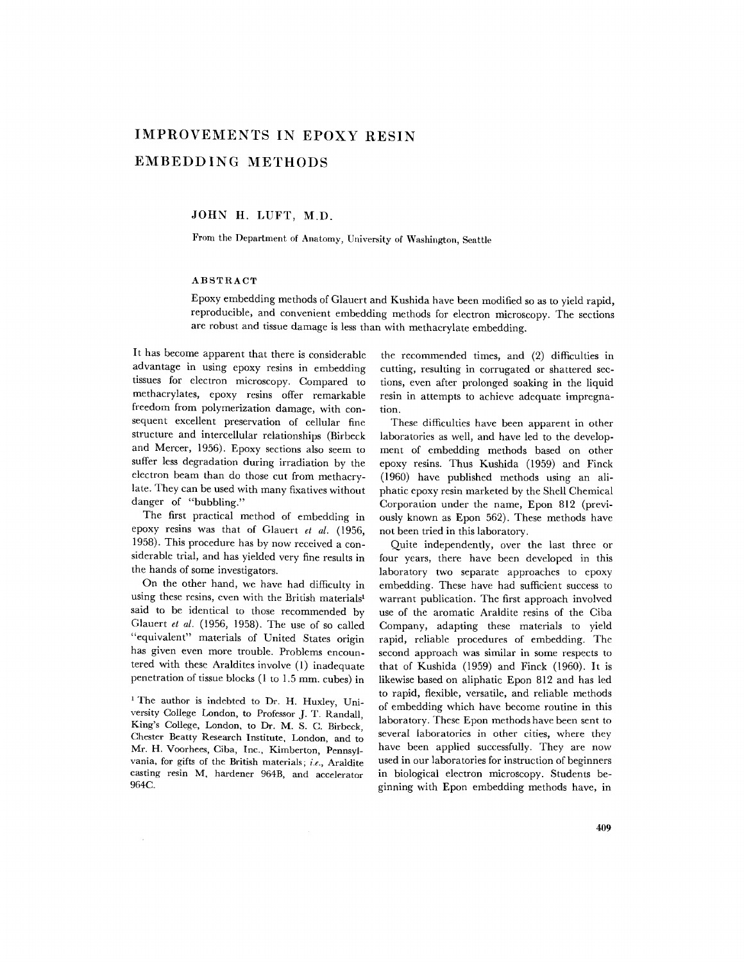# **IMPROVEMENTS IN EPOXY RESIN EMBEDDING METHODS**

JOHN H. LUFT, M.D.

From the Department of Anatomy, University of Washington, Seattle

# ABSTRACT

Epoxy embedding methods of Glauert and Kushida have been modified so as to yield rapid, reproducible, and convenient embedding methods for electron microscopy. The sections are robust and tissue damage is less than with methacrylate embedding.

It has become apparent that there is considerable advantage in using epoxy resins in embedding tissues for electron microscopy. Compared to methacrylates, epoxy resins offer remarkable freedom from polymerization damage, with consequent excellent preservation of cellular fine structure and intercellular relationships (Birbeck and Mercer, 1956). Epoxy sections also seem to suffer less degradation during irradiation by the electron beam than do those cut from methacrylate. They can be used with many fixatives without danger of "bubbling."

The first practical method of embedding in epoxy resins was that of Glauert *et al.* (1956, 1958). This procedure has by now received a considerable trial, and has yielded very fine results in the hands of some investigators.

On the other hand, we have had difficulty in using these resins, even with the British materials<sup>1</sup> said to be identical to those recommended by Glauert *et al.* (1956, 1958). The use of so called "equivalent" materials of United States origin has given even more trouble. Problems encountered with these Araldites involve (1) inadequate penetration of tissue blocks (1 to 1.5 mm. cubes) in

<sup>1</sup> The author is indebted to Dr. H. Huxley, University College London, to Professor J. T. Randall, King's College, London, to Dr. M. S. C. Birbeck, Chester Beatty Research Institute, London, and to Mr. H. Voorhees, Ciba, Inc., Kimberton, Pennsylvania, for gifts of the British materials; *i.e.,* Araldite casting resin M, hardener 964B, and accelerator 964C.

the recommended times, and (2) difficulties in cutting, resulting in corrugated or shattered sections, even after prolonged soaking in the liquid resin in attempts to achieve adequate impregnation.

These difficulties have been apparent in other laboratories as well, and have led to the development of embedding methods based on other epoxy resins. Thus Kushida (1959) and Finck (1960) have published methods using an aliphatic epoxy resin marketed by the Shell Chemical Corporation under the name, Epon 812 (previously known as Epon 562). These methods have not been tried in this laboratory.

Quite independently, over the last three or four years, there have been developed in this laboratory two separate approaches to epoxy embedding. These have had sufficient success to warrant publication. The first approach involved use of the aromatic Araldite resins of the Ciba Company, adapting these materials to yield rapid, reliable procedures of embedding. The second approach was similar in some respects to that of Kushida (1959) and Finck (1960). It is likewise based on aliphatic Epon 812 and has led to rapid, flexible, versatile, and reliable methods of embedding which have become routine in this laboratory. These Epon methods have been sent to several laboratories in other cities, where they have been applied successfully. They are now used in our laboratories for instruction of beginners in biological electron microscopy. Students beginning with Epon embedding methods have, in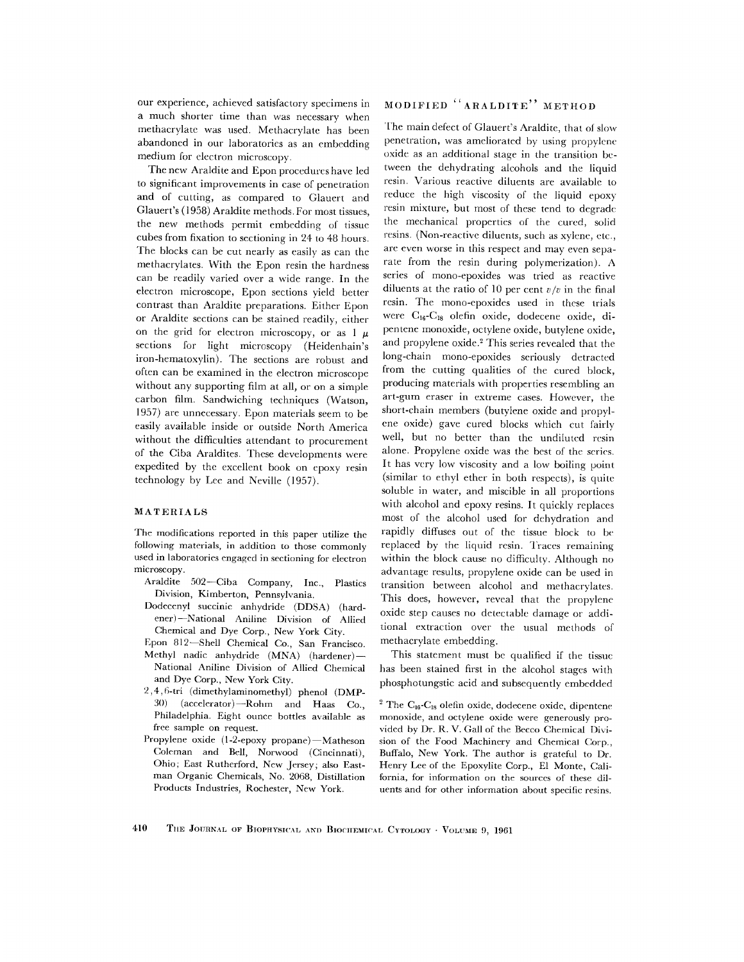our experience, achieved satisfactory specimens in a much shorter time than was necessary when methacrylate was used. Methacrylate has been abandoned in our laboratories as an embedding medium for electron microscopy.

The new Araldite and Epon procedures have led to significant improvements in case of penetration and of cutting, as compared to Glauert and Glauert's (1958) Araldite methods. For most tissues, the new methods permit embedding of tissue cubes from fixation to sectioning in 24 to 48 hours. The blocks can be cut nearly as easily as can the methacrylates. With the Epon resin the hardness can be readily varied over a wide range. In the electron microscope, Epon sections yield better contrast than Araldite preparations. Either Epon or Araldite sections can be stained readily, either on the grid for electron microscopy, or as  $1 \mu$ sections for light microscopy (Heidenhain's iron-hematoxylin). The sections are robust and often can be examined in the electron microscope without any supporting film at all, or on a simple carbon film. Sandwiching techniques (Watson, 1957) are unnecessary. Epon materials seem to be easily available inside or outside North America without the difficulties attendant to procurement of the Ciba Araldites. These developments were expedited by the excellent book on epoxy resin technology by Lee and Neville (1957).

### MATERIALS

The modifications reported in this paper utilize the following materials, in addition to those commonly used in laboratories engaged in sectioning for electron microscopy.

- Araldite 502--Ciba Company, Inc., Plastics Division, Kimberton, Pennsylvania.
- Dodecenyl succinie anhydride (DDSA) (hardener)--National Aniline Division of Allied Chemical and Dye Corp., New York City.
- Epon 812--Shell Chemical Co., San Francisco. Methyl nadic anhydride (MNA) (hardener)-National Aniline Division of Allied Chemical and Dye Corp., New York City.
- 2,4,6-tri (dimethylaminomethyl) phenol (DMP-30) (accelerator)--Rohm and Haas Co., Philadelphia. Eight ounce bottles available as free sample on request.
- Propylene oxide (1-2-epoxy propane)-Matheson Coleman and Bell, Norwood (Cincinnati), Ohio; East Rutherford. New Jersey; also Eastman Organic Chemicals, No. 2068, Distillation Products Industries, Rochester, New York.

# MODIFIED "ARALDITE" METHOD

The main defect of Glauert's Araldite, that ot slow penetration, was ameliorated by using propylene oxide as an additional stage in the transition between the dehydrating alcohols and the liquid resin. Various reactive diluents are available to reduce the high viscosity of the liquid epoxy resin mixture, but most of these tend to degrade the mechanical properties of the cured, solid resins. (Non-reactive diluents, such as xylene, etc., are even worse in this respect and may even separate from the resin during polymerization). A series of mono-epoxides was tried as reactive diluents at the ratio of 10 per cent  $v/v$  in the final resin. The mono-epoxides used in these trials were C<sub>16</sub>-C<sub>18</sub> olefin oxide, dodecene oxide, dipentene monoxide, octylene oxide, butylene oxide, and propylene oxide.<sup>2</sup> This series revealed that the long-chain mono-epoxides seriously detracted from the cutting qualities of the cured block, producing materials with properties resembling an art-gum eraser in extreme cases. However, the short-chain members (butylene oxide and propylene oxide) gave cured blocks which cut fairly well, but no better than the undiluted resin alone. Propylene oxide was the best of the series. It has very low viscosity and a low boiling point (similar to ethyl ether in both respects), is quite soluble in water, and miscible in all proportions with alcohol and epoxy resins. It quickly replaces most of the alcohol used for dehydration and rapidly diffuses out of the tissue block to be replaced by the liquid resin. Traces remaining within the block cause no difficulty. Although no advantage results, propylene oxide can be used in transition between alcohol and methacrylates. This does, however, reveal that the propylene oxide step causes no detectable damage or additional extraction over the usual methods of methacrylate embedding.

This statement must be qualified if the tissue has been stained first in the alcohol stages with phosphotungstic acid and subsequently embedded

 $2$  The C<sub>16</sub>-C<sub>18</sub> olefin oxide, dodecene oxide, dipentene monoxide, and oetylene oxide were generously provided by Dr. R. V. Gall of the Becco Chemical Division of the Food Machinery and Chemical Corp., Buffalo, New York. The author is grateful to Dr. Henry Lee of the Epoxylite Corp., E1 Monte, California, for information on the sources of these diluents and for other information about specific resins.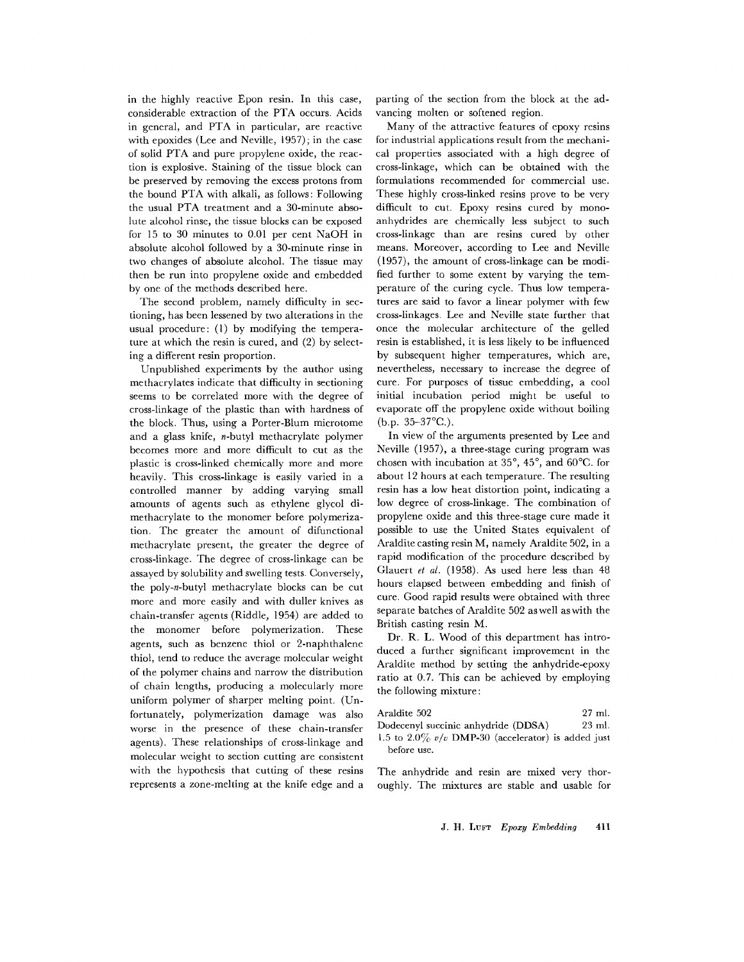in the highly reactive Epon resin. In this case, considerable extraction of the PTA occurs. Acids in general, and PTA in particular, are reactive with epoxides (Lee and Neville, 1957); in the case of solid PTA and pure propylene oxide, the reaction is explosive. Staining of the tissue block can be preserved by removing the excess protons from the bound PTA with alkali, as follows: Following the usual PTA treatment and a 30-minute absolute alcohol rinse, the tissue blocks can be exposed for 15 to 30 minutes to 0.01 per cent NaOH in absolute alcohol followed by a 30-minute rinse in two changes of absolute alcohol. The tissue may then be run into propylene oxide and embedded by one of the methods described here.

The second problem, namely difficulty in sectioning, has been lessened by two alterations in the usual procedure: (1) by modifying the temperature at which the resin is cured, and (2) by selecting a different resin proportion.

Unpublished experiments by the author using methacrylates indicate that difficulty in sectioning seems to be correlated more with the degree of cross-linkage of the plastic than with hardness of the block. Thus, using a Porter-Blum microtome and a glass knife, n-butyl methacrylate polymer becomes more and more difficult to cut as the plastic is cross-linked chemically more and more heavily. This cross-linkage is easily varied in a controlled manner by adding varying small amounts of agents such as ethylene glycol dimethacrylate to the monomer before polymerization. The greater the amount of difunctional methacrylate present, the greater the degree of cross-linkage. The degree of cross-linkage can be assayed by solubility and swelling tests. Conversely, the poly-n-butyl methacrylate blocks can be cut more and more easily and with duller knives as chain-transfer agents (Riddle, 1954) are added to the monomer before polymerization. These agents, such as benzene thiol or 2-naphthalene thiol, tend to reduce the average molecular weight of the polymer chains and narrow the distribution of chain lengths, producing a molecularly more uniform polymer of sharper melting point. (Unfortunately, polymerization damage was also worse in the presence of these chain-transfer agents). These relationships of cross-linkage and molecular weight to section cutting are consistent with the hypothesis that cutting of these resins represents a zone-mehing at the knife edge and a parting of the section from the block at the advancing molten or softened region.

Many of the attractive features of epoxy resins for industrial applications result from the mechanical properties associated with a high degree of cross-linkage, which can be obtained with the formulations recommended for commercial use. These highly cross-linked resins prove to be very difficult to cut. Epoxy resins cured by monoanhydrides are chemically less subject to such cross-linkage than are resins cured by other means. Moreover, according to Lee and Neville (1957), the amount of cross-linkage can be modified further to some extent by varying the temperature of the curing cycle. Thus low temperatures are said to favor a linear polymer with few cross-linkages. Lee and Neville state further that once the molecular architecture of the gelled resin is established, it is less likely to be influenced by subsequent higher temperatures, which are, nevertheless, necessary to increase the degree of cure. For purposes of tissue embedding, a cool initial incubation period might be useful to evaporate off the propylene oxide without boiling  $(b.p. 35-37°C.)$ .

In view of the arguments presented by Lee and Neville (1957), a three-stage curing program was chosen with incubation at  $35^{\circ}$ ,  $45^{\circ}$ , and  $60^{\circ}$ C. for about 12 hours at each temperature. The resulting resin has a low heat distortion point, indicating a low degree of cross-linkage. The combination of propylene oxide and this three-stage cure made it possible to use the United States equivalent of Araldite casting resin M, namely Araldite 502, in a rapid modification of the procedure described by Glauert *et al.* (1958). As used here less than 48 hours elapsed between embedding and finish of cure. Good rapid results were obtained with three separate batches of Araldite 502 aswell aswith the British casting resin M.

Dr. R. L. Wood of this department has introduced a further significant improvement in the Araldite method by setting the anhydride-epoxy ratio at 0.7. This can be achieved by employing the following mixture:

| Araldite 502                                         | 27 ml. |
|------------------------------------------------------|--------|
| Dodecenyl succinic anhydride (DDSA)                  | 23 ml. |
| 1.5 to 2.0% $v/v$ DMP-30 (accelerator) is added just |        |
| before use.                                          |        |

The anhydride and resin are mixed very thoroughly. The mixtures are stable and usable for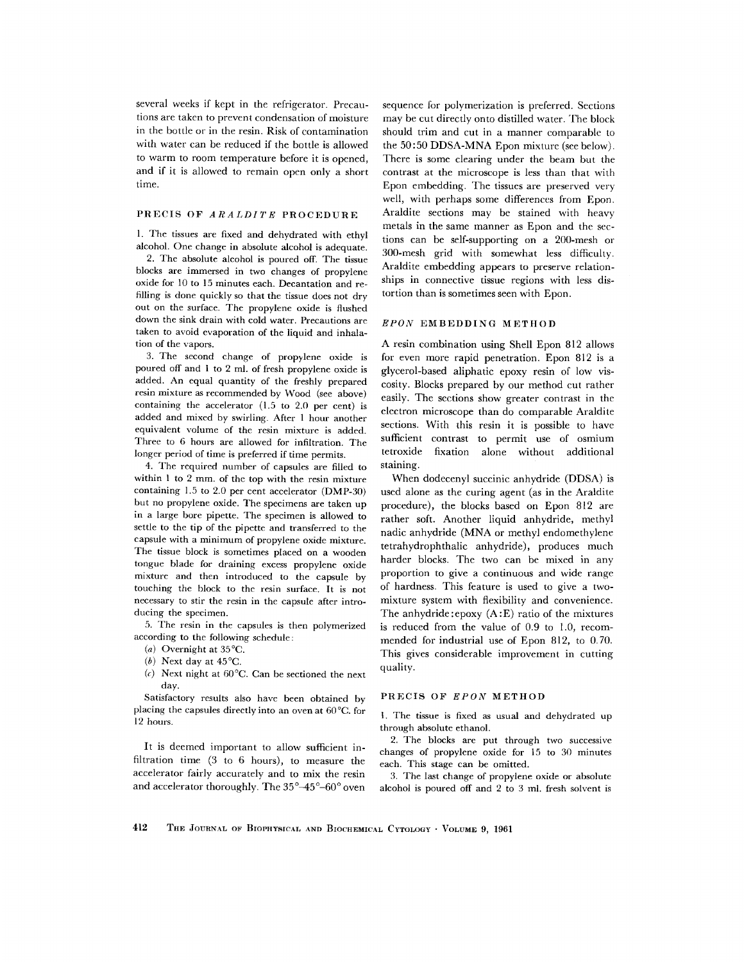several weeks if kept in the refrigerator. Precautions are taken to prevent condensation of moisture in the bottle or in the resin. Risk of contamination with water can be reduced if the bottle is allowed to warm to room temperature before it is opened, and if it is allowed to remain open only a short time.

#### PRECIS OF *ARALDITE* PROCEDURE

1. The tissues are fixed and dehydrated with ethyl alcohol. One change in absolute alcohol is adequate.

2. The absolute alcohol is poured off. The tissue blocks are immersed in two changes of propylene oxide for 10 to 15 minutes each. Decantation and refilling is done quickly so that the tissue does not dry out on the surface. The propylene oxide is flushed down the sink drain with cold water. Precautions are taken to avoid evaporation of the liquid and inhalation of the vapors.

3. The second change of propylene oxide is poured off and 1 to 2 ml. of fresh propylene oxide is added. An equal quantity of the freshly prepared resin mixture as recommended by Wood (see above) containing the accelerator (1.5 to 2.0 per cent) is added and mixed by swirling. After 1 hour another equivalent volume of the resin mixture is added. Three to 6 hours are allowed for infiltration. The longer period of time is preferred if time permits.

4. The required number of capsules are filled to within 1 to 2 mm. of the top with the resin mixture containing 1.5 to 2.0 per cent accelerator (DMP-30) but no propylene oxide. The specimens are taken up in a large bore pipette. The specimen is allowed to settle to the tip of the pipette and transferred to the capsule with a minimum of propylene oxide mixture. The tissue block is sometimes placed on a wooden tongue blade for draining excess propylene oxide mixture and then introduced to the capsule by touching the block to the resin surface. It is not necessary to stir the resin in the capsule after introducing the specimen.

5. The resin in the capsules is then polymerized according to the following schedule:

- (a) Overnight at  $35^{\circ}$ C.
- (b) Next day at  $45^{\circ}$ C.
- *(c)* Next night at 60°C. Can be sectioned the next day.

Satisfactory results also have been obtained by placing the capsules directly into an oven at 60°C. for 12 hours.

It is deemed important to allow sufficient infiltration time (3 to 6 hours), to measure the accelerator fairly accurately and to mix the resin and accelerator thoroughly. The  $35^{\circ}\text{--}45^{\circ}\text{--}60^{\circ}$  oven sequence for polymerization is preferred. Sections may be cut directly onto distilled water. The block should trim and cut in a manner comparable to the 50:50 DDSA-MNA Epon mixture (see below). There is some clearing under the beam but the contrast at the microscope is less than that with Epon embedding. The tissues are preserved very well, with perhaps some differences from Epon. Araldite sections may be stained with heavy metals in the same manner as Epon and the sections can be self-supporting on a 200-mesh or 300-mesh grid with somewhat less difficulty. Araldite embedding appears to preserve relationships in connective tissue regions with less distortion than is sometimes seen with Epon.

#### *EPON* EMBEDDING METHOD

A resin combination using Shell Epon 812 allows for even more rapid penetration. Epon 812 is a glycerol-based aliphatic epoxy resin of low viscosity. Blocks prepared by our method cut rather easily. The sections show greater contrast in the electron microscope than do comparable Araldite sections. With this resin it is possible to have sufficient contrast to permit use of osmium tetroxide fixation alone without additional staining.

When dodecenyl succinic anhydride (DDSA) is used alone as the curing agent (as in the Araldite procedure), the blocks based on Epon 812 are rather soft. Another liquid anhydride, methyl nadic anhydride (MNA or methyl *endomethylene*  tetrahydrophthalic anhydride), produces much harder blocks. The two can be mixed in any proportion to give a continuous and wide range of hardness. This feature is used to give a twomixture system with flexibility and convenience. The anhydride :epoxy (A :E) ratio of the mixtures is reduced from the value of 0.9 to 1.0, recommended for industrial use of Epon 812, to 0.70. This gives considerable improvement in cutting quality.

#### PRECIS OF *EPON* METHOD

1. The tissue is fixed as usual and dehydrated up through absolute ethanol.

2. The blocks are put through two successive changes of propylene oxide for 15 to 30 minutes each. This stage can be omitted.

3. The last change of propylene oxide or absolute alcohol is poured off and 2 to 3 ml. fresh solvent is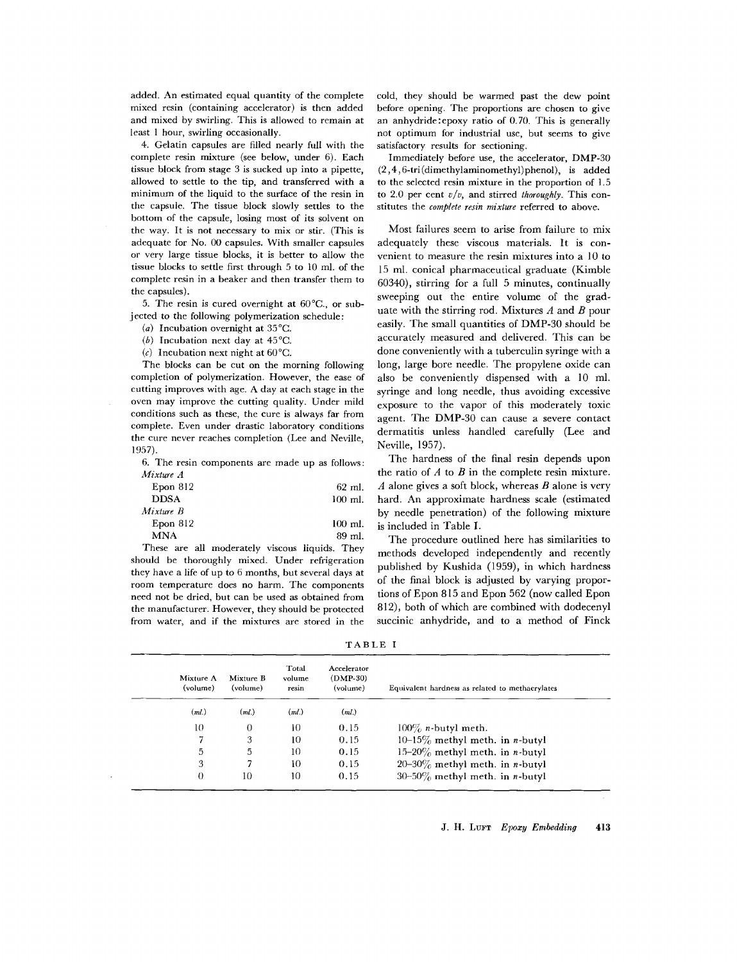added. An estimated equal quantity of the complete mixed resin (containing accelerator) is then added and mixed by swirling. This is allowed to remain at least 1 hour, swirling occasionally.

4. Gelatin capsules are filled nearly full with the complete resin mixture (see below, under 6). Each tissue block from stage 3 is sucked up into a pipette, allowed to settle to the tip, and transferred with a minimum of the liquid to the surface of the resin in the capsule. The tissue block slowly settles to the bottom of the capsule, losing most of its solvent on the way. It is not necessary to mix or stir. (This is adequate for No. 00 capsules. With smaller capsules or very large tissue blocks, it is better to allow the tissue blocks to settle first through 5 to 10 ml. of the complete resin in a beaker and then transfer them to the capsules).

5. The resin is cured overnight at 60°C., or subjected to the following polymerization schedule:

(a) Incubation overnight at 35°C.

- (b) Incubation next day at 45°C.
- (c) Incubation next night at  $60^{\circ}$ C.

The blocks can be cut on the morning following completion of polymerization. However, the ease of cutting improves with age. A day at each stage in the oven may improve the cutting quality. Under mild conditions such as these, the cure is always far from complete. Even under drastic laboratory conditions the cure never reaches completion (Lee and Neville, 1957).

6. The resin components are made up as follows: *Mixture A* 

| Epon 812    | $62$ ml.  |
|-------------|-----------|
| <b>DDSA</b> | $100$ ml. |
| Mixture B   |           |
| Epon 812    | $100$ ml. |
| MNA         | 89 ml.    |

These are all moderately viscous liquids. They should be thoroughly mixed. Under refrigeration they have a life of up to 6 months, but several days at room temperature does no harm. The components need not be dried, but can be used as obtained from the manufacturer. However, they should be protected from water, and if the mixtures are stored in the

cold, they should be warmed past the dew point before opening. The proportions are chosen to give an anhydride:epoxy ratio of 0.70. This is generally not optimum for industrial use, but seems to give satisfactory results for sectioning.

Immediately before use, the accelerator, DMP-30 (2,4,6-tri(dimethylaminomethyl)phenol), is added to the selected resin mixture in the proportion of 1.5 to 2.0 per cent *v/v,* and stirred *thoroughly.* This constitutes the *complete resin mixture* referred to above.

Most failures seem to arise from failure to mix adequately these viscous materials. It is convenient to measure the resin mixtures into a 10 to 15 ml. conical pharmaceutical graduate (Kimble 60340), stirring for a full 5 minutes, continually sweeping out the entire volume of the graduate with the stirring rod. Mixtures  $A$  and  $B$  pour easily. The small quantities of DMP-30 should be accurately measured and delivered. This can be done conveniently with a tuberculin syringe with a long, large bore needle. The propylene oxide can also be conveniently dispensed with a 10 ml. syringe and long needle, thus avoiding excessive exposure to the vapor of this moderately toxic agent. The DMP-30 can cause a severe contact dermatitis unless handled carefully (Lee and Neville, 1957).

The hardness of the final resin depends upon the ratio of  $A$  to  $B$  in the complete resin mixture.  $A$  alone gives a soft block, whereas  $B$  alone is very hard. An approximate hardness scale (estimated by needle penetration) of the following mixture is included in Table I.

The procedure outlined here has similarities to methods developed independently and recently published by Kushida (1959), in which hardness of the final block is adjusted by varying proportions of Epon 815 and Epon 562 (now called Epon 812), both of which are combined with dodecenyl succinic anhydride, and to a method of Finck

TABLE I

| Mixture A<br>(volume) | Mixture B<br>(volume) | Total<br>volume<br>resin | Accelerator<br>$(DMP-30)$<br>(volume) | Equivalent hardness as related to methacrylates |
|-----------------------|-----------------------|--------------------------|---------------------------------------|-------------------------------------------------|
| (ml.)                 | (ml)                  | (ml.)                    | (ml)                                  |                                                 |
| 10                    | 0                     | 10                       | 0.15                                  | $100\%$ <i>n</i> -butyl meth.                   |
|                       | 3                     | 10                       | 0.15                                  | 10-15% methyl meth. in <i>n</i> -butyl          |
| 5                     | 5                     | 10                       | 0.15                                  | 15-20% methyl meth. in <i>n</i> -butyl          |
| 3                     |                       | 10                       | 0.15                                  | $20-30\%$ methyl meth. in <i>n</i> -butyl       |
| $\Omega$              | 10                    | 10                       | 0.15                                  | $30-50\%$ methyl meth. in <i>n</i> -butyl       |